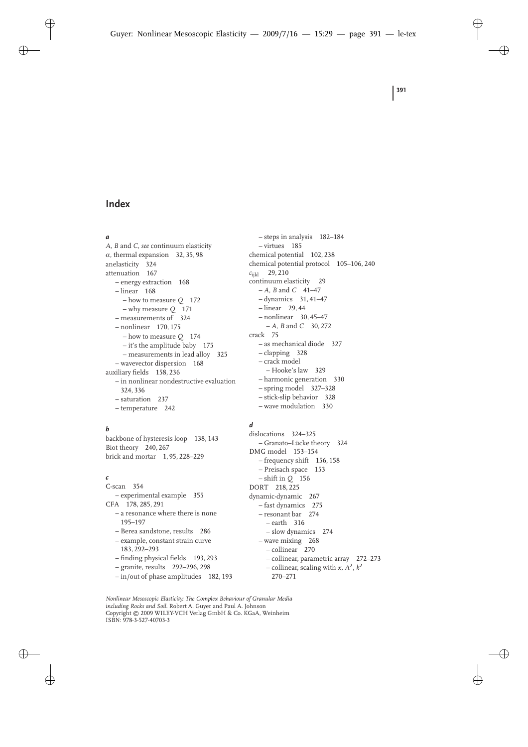#### *a*

*A*, *B* and *C*, *see* continuum elasticity  $\alpha$ , thermal expansion 32, 35, 98 anelasticity 324 attenuation 167 – energy extraction 168 – linear 168 – how to measure *Q* 172 – why measure *Q* 171 – measurements of 324 – nonlinear 170, 175 – how to measure *Q* 174 – it's the amplitude baby 175 – measurements in lead alloy 325 – wavevector dispersion 168 auxiliary fields 158, 236 – in nonlinear nondestructive evaluation 324, 336 – saturation 237 – temperature 242

## *b*

backbone of hysteresis loop 138, 143 Biot theory 240, 267 brick and mortar 1, 95, 228–229

#### *c*

C-scan 354 – experimental example 355 CFA 178, 285, 291 – a resonance where there is none 195–197 – Berea sandstone, results 286 – example, constant strain curve 183, 292–293 – finding physical fields 193, 293 – granite, results 292–296, 298

– in/out of phase amplitudes 182, 193

– steps in analysis 182–184 – virtues 185 chemical potential 102, 238 chemical potential protocol 105–106, 240 *c*ijkl 29, 210 continuum elasticity 29 – *A*, *B* and *C* 41–47 – dynamics 31, 41–47 – linear 29, 44 – nonlinear 30, 45–47 – *A*, *B* and *C* 30, 272 crack 75 – as mechanical diode 327 – clapping 328 – crack model – Hooke's law 329 – harmonic generation 330 – spring model 327–328 – stick-slip behavior 328 – wave modulation 330

#### *d*

dislocations 324–325 – Granato–Lücke theory 324 DMG model 153–154 – frequency shift 156, 158 – Preisach space 153 – shift in *Q* 156 DORT 218, 225 dynamic-dynamic 267 – fast dynamics 275 – resonant bar 274 – earth 316 – slow dynamics 274 – wave mixing 268 – collinear 270 – collinear, parametric array 272–273 – collinear, scaling with *x*, *A*2, *k*<sup>2</sup> 270–271

*Nonlinear Mesoscopic Elasticity: The Complex Behaviour of Granular Media including Rocks and Soil.* Robert A. Guyer and Paul A. Johnson Copyright © 2009 WILEY-VCH Verlag GmbH & Co. KGaA, Weinheim ISBN: 978-3-527-40703-3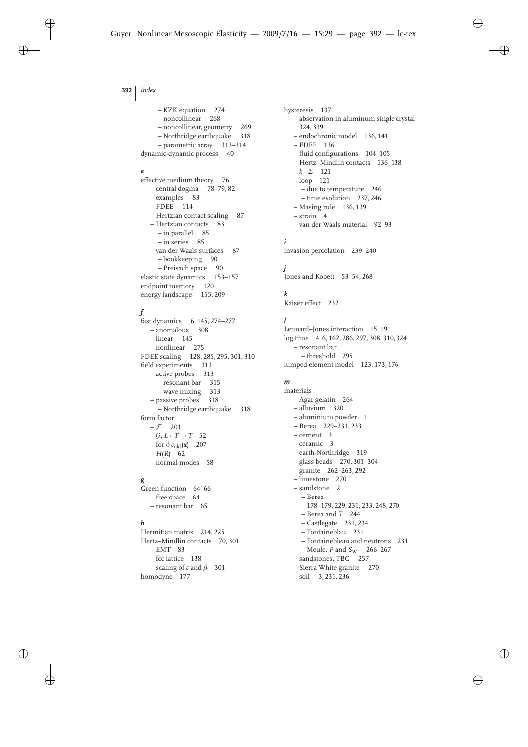– KZK equation 274 – noncollinear 268 – noncollinear, geometry 269 – Northridge earthquake 318 – parametric array 313–314 dynamic-dynamic process 40

#### *e*

effective medium theory 76 – central dogma 78–79, 82 – examples 83 – FDEE 114 – Hertzian contact scaling 87 – Hertzian contacts 83 – in parallel 85 – in series 85 – van der Waals surfaces 87 – bookkeeping 90 – Preisach space 90 elastic state dynamics 153–157 endpoint memory 120 energy landscape 155, 209

### *f*

fast dynamics 6, 145, 274–277 – anomalous 308 – linear 145 – nonlinear 275 FDEE scaling 128, 285, 295, 301, 310 field experiments 313 – active probes 313 – resonant bar 315 – wave mixing 313 – passive probes 318 – Northridge earthquake 318 form factor  $-\mathcal{F}$  201  $-\mathcal{G}, L+T \rightarrow T$  52 – for δ *c*ijkl ( **x**) 207 – *H* ( *R*) 62 – normal modes 58

## *g*

Green function 64–66 – free space 64 – resonant bar 65

## *h*

Hermitian matrix 214, 225 Hertz–Mindlin contacts 70, 301  $- EMT$  83 – fcc lattice 138  $-$  scaling of  $c$  and  $\beta$  301 homodyne 177

hysteresis 137 – abservation in aluminum single crystal 324, 339 – endochronic model 136, 141 – FDEE 136 – fluid configurations 104–105 – Hertz–Mindlin contacts 136–138  $-k - \Sigma$  121 – loop 121 – due to temperature 246 – time evolution 237, 246 – Masing rule 136, 139  $-$  strain  $4$ – van der Waals material 92–93 *i* invasion percolation 239–240

## *j*

Jones and Kobett 53–54, 268

#### *k*

Kaiser effect 232

#### *l*

Lennard–Jones interaction 15, 19 log time 4, 6, 162, 286, 297, 308, 310, 324 – resonant bar – threshold 295 lumped element model 123, 173, 176

## *m*

materials – Agar gelatin 264 – alluvium 320 – aluminium powder 1 – Berea 229–231, 233 – cement 3 – ceramic 3 – earth-Northridge 319 – glass beads 270, 301–304 – granite 262–263, 292 – limestone 270 – sandstone 2 – Berea 178–179, 229, 231, 233, 248, 270 – Berea and *T* 244 – Castlegate 231, 234 – Fontaineblau 231 – Fontainebleau and neutrons 231 – Meule, *P* and *S* <sup>W</sup> 266–267 – sandstones, TBC 257 – Sierra White granite 270 – soil 3, 231, 236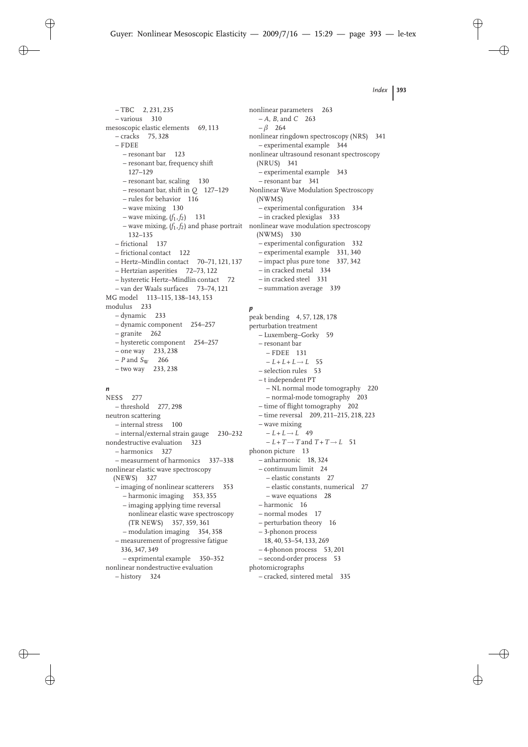$-$  TBC 2, 231, 235 – various 310 mesoscopic elastic elements 69, 113 – cracks 75, 328 – FDEE – resonant bar 123 – resonant bar, frequency shift 127–129 – resonant bar, scaling 130 – resonant bar, shift in *Q* 127–129 – rules for behavior 116 – wave mixing 130  $-$  wave mixing,  $(f_1, f_2)$  131 – wave mixing, (*f*1, *f*2) and phase portrait nonlinear wave modulation spectroscopy 132–135 – frictional 137 – frictional contact 122 – Hertz–Mindlin contact 70–71, 121, 137 – Hertzian asperities 72–73, 122 – hysteretic Hertz–Mindlin contact 72 – van der Waals surfaces 73–74, 121 MG model 113–115, 138–143, 153 modulus 233 – dynamic 233 – dynamic component 254–257 – granite 262 – hysteretic component 254–257 – one way 233, 238 – *P* and *S*<sup>W</sup> 266 – two way 233, 238

## *n*

NESS 277 – threshold 277, 298 neutron scattering – internal stress 100 – internal/external strain gauge 230–232 nondestructive evaluation 323 – harmonics 327 – measurment of harmonics 337–338 nonlinear elastic wave spectroscopy (NEWS) 327 – imaging of nonlinear scatterers 353 – harmonic imaging 353, 355 – imaging applying time reversal nonlinear elastic wave spectroscopy (TR NEWS) 357, 359, 361 – modulation imaging 354, 358 – measurement of progressive fatigue 336, 347, 349 – exprimental example 350–352 nonlinear nondestructive evaluation – history 324

nonlinear parameters 263 – *A*, *B*, and *C* 263  $-\beta$  264 nonlinear ringdown spectroscopy (NRS) 341 – experimental example 344 nonlinear ultrasound resonant spectroscopy (NRUS) 341 – experimental example 343 – resonant bar 341 Nonlinear Wave Modulation Spectroscopy (NWMS) – experimental configuration 334 – in cracked plexiglas 333 (NWMS) 330 – experimental configuration 332 – experimental example 331, 340 – impact plus pure tone 337, 342 – in cracked metal 334 – in cracked steel 331 – summation average 339

### *p*

peak bending 4, 57, 128, 178 perturbation treatment – Luxemberg–Gorky 59 – resonant bar – FDEE 131  $-L + L + L \rightarrow L$  55 – selection rules 53 – t independent PT – NL normal mode tomography 220 – normal-mode tomography 203 – time of flight tomography 202 – time reversal 209, 211–215, 218, 223 – wave mixing  $-L + L \rightarrow L$  49  $-L + T \rightarrow T$  and  $T + T \rightarrow L$  51 phonon picture 13 – anharmonic 18, 324 – continuum limit 24 – elastic constants 27 – elastic constants, numerical 27 – wave equations 28 – harmonic 16 – normal modes 17 – perturbation theory 16 – 3-phonon process 18, 40, 53–54, 133, 269 – 4-phonon process 53, 201 – second-order process 53 photomicrographs – cracked, sintered metal 335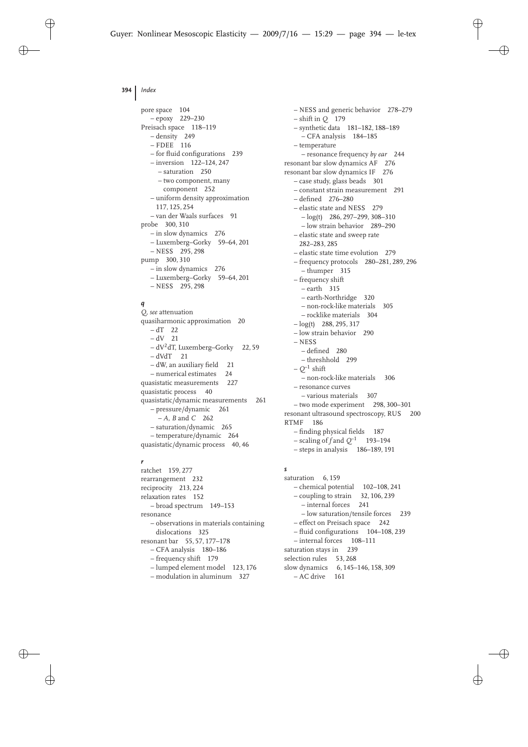pore space 104 – epoxy 229–230 Preisach space 118–119 – density 249 – FDEE 116 – for fluid configurations 239 – inversion 122–124, 247 – saturation 250 – two component, many component 252 – uniform density approximation 117, 125, 254 – van der Waals surfaces 91 probe 300, 310 – in slow dynamics 276 – Luxemberg–Gorky 59–64, 201 – NESS 295, 298 pump 300, 310 – in slow dynamics 276 – Luxemberg–Gorky 59–64, 201 – NESS 295, 298

# *q*

*Q*, *see* attenuation quasiharmonic approximation 20  $- dT$  22  $-dV$  21 – dV 2dT, Luxemberg–Gorky 22, 59  $- dVdT$  21 – dW, an auxiliary field 21 – numerical estimates 24 quasistatic measurements 227 quasistatic process 40 quasistatic/dynamic measurements 261 – pressure/dynamic 261 – *A*, *B* and *C* 262 – saturation/dynamic 265 – temperature/dynamic 264 quasistatic/dynamic process 40, 46

### *r*

ratchet 159, 277 rearrangement 232 reciprocity 213, 224 relaxation rates 152 – broad spectrum 149–153 resonance – observations in materials containing dislocations 325 resonant bar 55, 57, 177–178 – CFA analysis 180–186 – frequency shift 179 – lumped element model 123, 176 – modulation in aluminum 327

– NESS and generic behavior 278–279 – shift in *Q* 179 – synthetic data 181–182, 188–189 – CFA analysis 184–185 – temperature – resonance frequency *by ear* 244 resonant bar slow dynamics AF 276 resonant bar slow dynamics IF 276 – case study, glass beads 301 – constant strain measurement 291 – defined 276–280 – elastic state and NESS 279  $-\log(t)$  286, 297–299, 308–310 – low strain behavior 289–290 – elastic state and sweep rate 282–283, 285 – elastic state time evolution 279 – frequency protocols 280–281, 289, 296 – thumper 315 – frequency shift – earth 315 – earth-Northridge 320 – non-rock-like materials 305 – rocklike materials 304  $-\log(t)$  288, 295, 317 – low strain behavior 290 – NESS – defined 280 – threshhold 299 – *Q*–1 shift – non-rock-like materials 306 – resonance curves – various materials 307 – two mode experiment 298, 300–301 resonant ultrasound spectroscopy, RUS 200 RTMF 186 – finding physical fields 187 – scaling of *f* and *Q*–1 193–194 – steps in analysis 186–189, 191

# *s*

saturation 6, 159 – chemical potential 102–108, 241 – coupling to strain 32, 106, 239 – internal forces 241 – low saturation/tensile forces 239 – effect on Preisach space 242 – fluid configurations 104–108, 239 – internal forces 108–111 saturation stays in 239 selection rules 53, 268 slow dynamics 6, 145–146, 158, 309 – AC drive 161